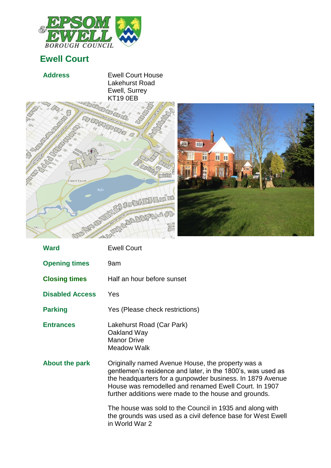

## **Ewell Court**

Ewell Court

| <b>Address</b> | <b>Ewell Court House</b><br>Lakehurst Road<br>Ewell, Surrey<br><b>KT19 0EB</b> |
|----------------|--------------------------------------------------------------------------------|
| <b>AND W</b>   | LAKEHURST ROAD                                                                 |

**SAS** 



| <b>Ward</b>            | <b>Ewell Court</b>                                                                                                                                                                                                                                                                              |
|------------------------|-------------------------------------------------------------------------------------------------------------------------------------------------------------------------------------------------------------------------------------------------------------------------------------------------|
| <b>Opening times</b>   | 9am                                                                                                                                                                                                                                                                                             |
| <b>Closing times</b>   | Half an hour before sunset                                                                                                                                                                                                                                                                      |
| <b>Disabled Access</b> | Yes                                                                                                                                                                                                                                                                                             |
| <b>Parking</b>         | Yes (Please check restrictions)                                                                                                                                                                                                                                                                 |
| <b>Entrances</b>       | Lakehurst Road (Car Park)<br>Oakland Way<br><b>Manor Drive</b><br><b>Meadow Walk</b>                                                                                                                                                                                                            |
| <b>About the park</b>  | Originally named Avenue House, the property was a<br>gentlemen's residence and later, in the 1800's, was used as<br>the headquarters for a gunpowder business. In 1879 Avenue<br>House was remodelled and renamed Ewell Court. In 1907<br>further additions were made to the house and grounds. |
|                        | The house was sold to the Council in 1935 and along with<br>the grounds was used as a civil defence base for West Ewell<br>in World War 2                                                                                                                                                       |